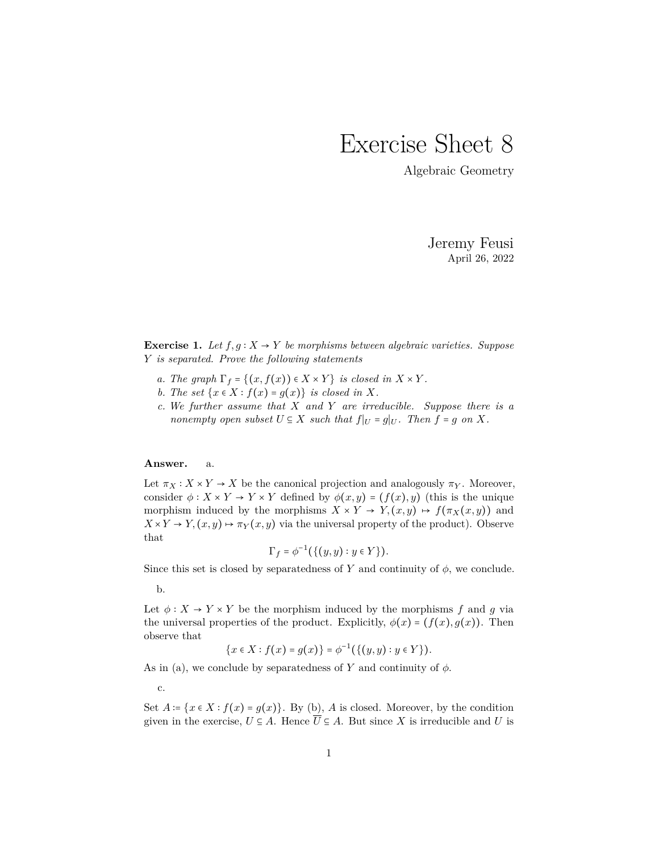## Exercise Sheet 8

Algebraic Geometry

Jeremy Feusi April 26, 2022

**Exercise 1.** *Let*  $f, g: X \rightarrow Y$  *be morphisms between algebraic varieties. Suppose Y is separated. Prove the following statements*

- *a. The graph*  $\Gamma_f = \{(x, f(x)) \in X \times Y\}$  *is closed in*  $X \times Y$ *.*
- *b. The set*  $\{x \in X : f(x) = g(x)\}$  *is closed in X.*
- *c. We further assume that X and Y are irreducible. Suppose there is a nonempty open subset*  $U \subseteq X$  *such that*  $f|_U = g|_U$ *. Then*  $f = g$  *on*  $X$ *.*

## **Answer.** a.

Let  $\pi_X : X \times Y \to X$  be the canonical projection and analogously  $\pi_Y$ . Moreover, consider  $\phi: X \times Y \to Y \times Y$  defined by  $\phi(x, y) = (f(x), y)$  (this is the unique morphism induced by the morphisms  $X \times Y \to Y$ ,  $(x, y) \mapsto f(\pi_X(x, y))$  and  $X \times Y \to Y$ ,  $(x, y) \mapsto \pi_Y(x, y)$  via the universal property of the product). Observe that

$$
\Gamma_f = \phi^{-1}(\{(y, y) : y \in Y\}).
$$

Since this set is closed by separatedness of *Y* and continuity of  $\phi$ , we conclude.

b.

Let  $\phi: X \to Y \times Y$  be the morphism induced by the morphisms f and g via the universal properties of the product. Explicitly,  $\phi(x) = (f(x), g(x))$ . Then observe that

$$
\{x \in X : f(x) = g(x)\} = \phi^{-1}(\{(y, y) : y \in Y\}).
$$

As in (a), we conclude by separatedness of  $Y$  and continuity of  $\phi$ .

c.

Set  $A = \{x \in X : f(x) = g(x)\}\$ . By (b), *A* is closed. Moreover, by the condition given in the exercise,  $U \subseteq A$ . Hence  $\overline{U} \subseteq A$ . But since X is irreducible and U is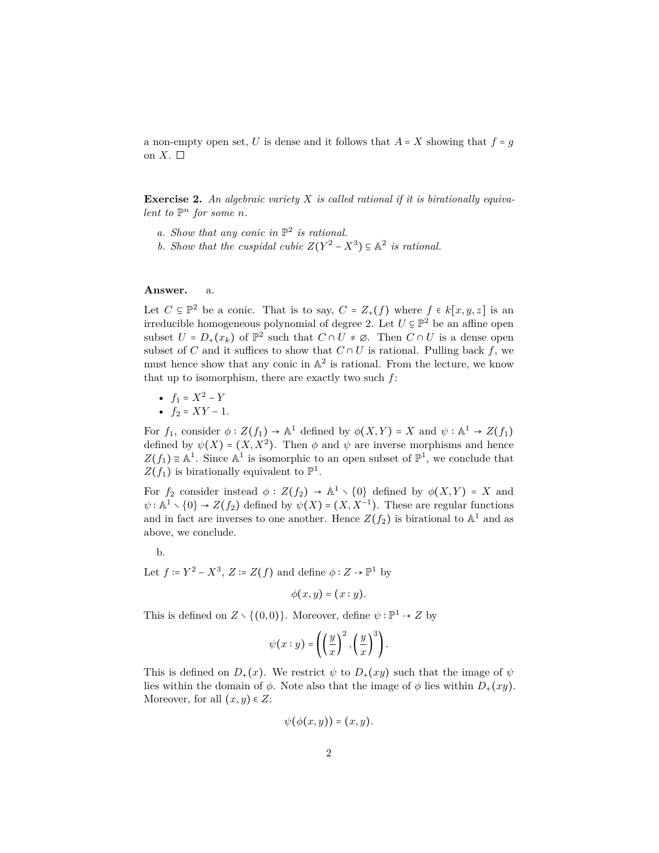a non-empty open set, *U* is dense and it follows that  $A = X$  showing that  $f = g$ on  $X.$   $\square$ 

**Exercise 2.** *An algebraic variety X is called rational if it is birationally equivalent to*  $\mathbb{P}^n$  *for some n.* 

- a. Show that any conic in  $\mathbb{P}^2$  is rational.
- *b. Show that the cuspidal cubic*  $Z(Y^2 X^3) \subseteq \mathbb{A}^2$  *is rational.*

## **Answer.** a.

Let  $C \subseteq \mathbb{P}^2$  be a conic. That is to say,  $C = Z_+(f)$  where  $f \in k[x, y, z]$  is an irreducible homogeneous polynomial of degree 2. Let  $U \subseteq \mathbb{P}^2$  be an affine open subset  $U = D_+(x_k)$  of  $\mathbb{P}^2$  such that  $C \cap U \neq \emptyset$ . Then  $C \cap U$  is a dense open subset of *C* and it suffices to show that  $C \cap U$  is rational. Pulling back  $f$ , we must hence show that any conic in  $\mathbb{A}^2$  is rational. From the lecture, we know that up to isomorphism, there are exactly two such *f*:

- $f_1 = X^2 Y$
- $f_2 = XY 1$ .

For  $f_1$ , consider  $\phi: Z(f_1) \to \mathbb{A}^1$  defined by  $\phi(X, Y) = X$  and  $\psi: \mathbb{A}^1 \to Z(f_1)$ defined by  $\psi(X) = (X, X^2)$ . Then  $\phi$  and  $\psi$  are inverse morphisms and hence  $Z(f_1) \cong \mathbb{A}^1$ . Since  $\mathbb{A}^1$  is isomorphic to an open subset of  $\mathbb{P}^1$ , we conclude that  $Z(f_1)$  is birationally equivalent to  $\mathbb{P}^1$ .

For  $f_2$  consider instead  $\phi : Z(f_2) \to \mathbb{A}^1 \setminus \{0\}$  defined by  $\phi(X, Y) = X$  and  $\psi : \mathbb{A}^1 \setminus \{0\} \to Z(f_2)$  defined by  $\psi(X) = (X, X^{-1})$ . These are regular functions and in fact are inverses to one another. Hence  $Z(f_2)$  is birational to  $\mathbb{A}^1$  and as above, we conclude.

b.

Let  $f \coloneqq Y^2 - X^3$ ,  $Z \coloneqq Z(f)$  and define  $\phi: Z \to \mathbb{P}^1$  by

 $\phi(x, y) = (x : y)$ .

This is defined on  $Z \setminus \{(0,0)\}\)$ . Moreover, define  $\psi : \mathbb{P}^1 \to Z$  by

$$
\psi(x:y) = \left( \left(\frac{y}{x}\right)^2, \left(\frac{y}{x}\right)^3 \right).
$$

This is defined on  $D_+(x)$ . We restrict  $\psi$  to  $D_+(xy)$  such that the image of  $\psi$ lies within the domain of  $\phi$ . Note also that the image of  $\phi$  lies within  $D_+(xy)$ . Moreover, for all  $(x, y) \in Z$ :

$$
\psi(\phi(x,y))=(x,y).
$$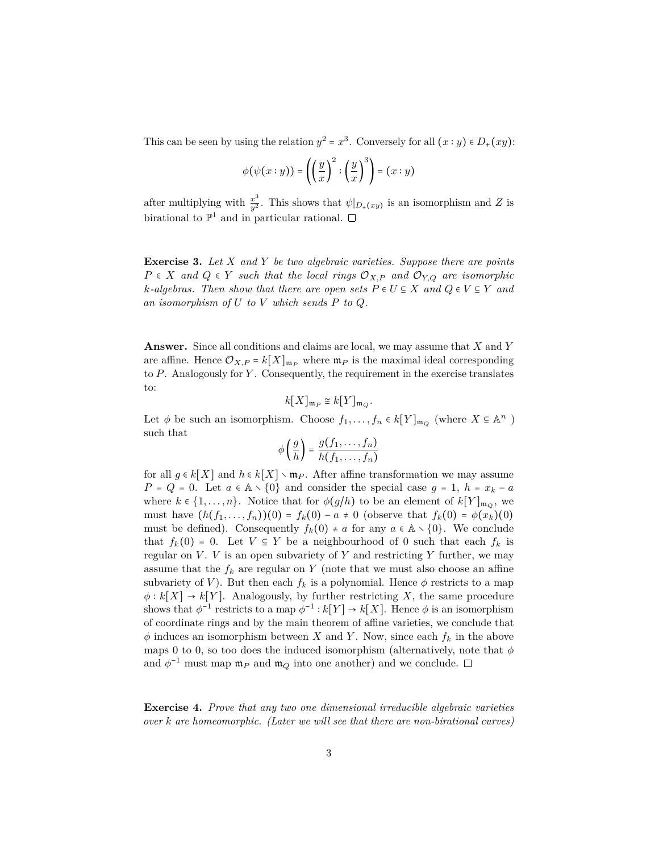This can be seen by using the relation  $y^2 = x^3$ . Conversely for all  $(x : y) \in D_+(xy)$ :

$$
\phi(\psi(x:y)) = \left(\left(\frac{y}{x}\right)^2 : \left(\frac{y}{x}\right)^3\right) = (x:y)
$$

after multiplying with  $\frac{x^3}{y^2}$ . This shows that  $\psi|_{D_+(xy)}$  is an isomorphism and *Z* is birational to  $\mathbb{P}^1$  and in particular rational.

**Exercise 3.** *Let X and Y be two algebraic varieties. Suppose there are points*  $P \in X$  *and*  $Q \in Y$  *such that the local rings*  $\mathcal{O}_{X,P}$  *and*  $\mathcal{O}_{Y,Q}$  *are isomorphic k*-algebras. Then show that there are open sets  $P \in U \subseteq X$  and  $Q \in V \subseteq Y$  and *an isomorphism of U to V which sends P to Q.*

**Answer.** Since all conditions and claims are local, we may assume that *X* and *Y* are affine. Hence  $\mathcal{O}_{X,P} = k[X]_{\mathfrak{m}_P}$  where  $\mathfrak{m}_P$  is the maximal ideal corresponding to *P*. Analogously for *Y* . Consequently, the requirement in the exercise translates to:

$$
k[X]_{\mathfrak{m}_P} \cong k[Y]_{\mathfrak{m}_Q}.
$$

Let  $\phi$  be such an isomorphism. Choose  $f_1, \ldots, f_n \in k[Y]_{\mathfrak{m}_Q}$  (where  $X \subseteq \mathbb{A}^n$ ) such that

$$
\phi\left(\frac{g}{h}\right) = \frac{g(f_1,\ldots,f_n)}{h(f_1,\ldots,f_n)}
$$

for all  $g \in k[X]$  and  $h \in k[X] \setminus \mathfrak{m}_P$ . After affine transformation we may assume  $P = Q = 0$ . Let  $a \in A \setminus \{0\}$  and consider the special case  $g = 1$ ,  $h = x_k - a$ where  $k \in \{1, \ldots, n\}$ . Notice that for  $\phi(g/h)$  to be an element of  $k[Y]_{\mathfrak{m}_Q}$ , we must have  $(h(f_1, ..., f_n))(0) = f_k(0) - a \neq 0$  (observe that  $f_k(0) = \phi(x_k)(0)$ must be defined). Consequently  $f_k(0) \neq a$  for any  $a \in \mathbb{A} \setminus \{0\}$ . We conclude that  $f_k(0) = 0$ . Let  $V \subseteq Y$  be a neighbourhood of 0 such that each  $f_k$  is regular on  $V$ .  $V$  is an open subvariety of  $Y$  and restricting  $Y$  further, we may assume that the  $f_k$  are regular on  $Y$  (note that we must also choose an affine subvariety of *V*). But then each  $f_k$  is a polynomial. Hence  $\phi$  restricts to a map  $\phi: k[X] \to k[Y]$ . Analogously, by further restricting X, the same procedure shows that  $\phi^{-1}$  restricts to a map  $\phi^{-1}: k[Y] \to k[X]$ . Hence  $\phi$  is an isomorphism of coordinate rings and by the main theorem of affine varieties, we conclude that  $\phi$  induces an isomorphism between *X* and *Y*. Now, since each  $f_k$  in the above maps 0 to 0, so too does the induced isomorphism (alternatively, note that  $\phi$ and  $\phi^{-1}$  must map  $\mathfrak{m}_P$  and  $\mathfrak{m}_Q$  into one another) and we conclude.

**Exercise 4.** *Prove that any two one dimensional irreducible algebraic varieties over k are homeomorphic. (Later we will see that there are non-birational curves)*